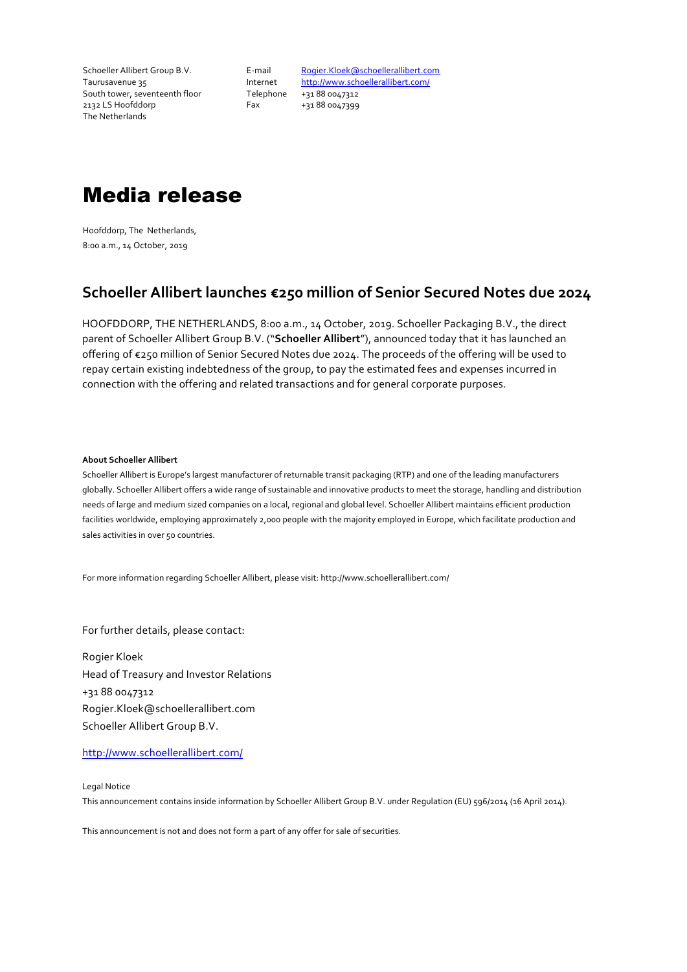Schoeller Allibert Group B.V. Taurusavenue 35 South tower, seventeenth floor 2132 LS Hoofddorp The Netherlands

E-mail Internet Fax

Telephone +31 88 0047312 Rogier.Kloek@schoellerallibert.com http://www.schoellerallibert.com/ +31 88 0047399

## Media release

Hoofddorp, The Netherlands, 8:00 a.m., 14 October, 2019

## **Schoeller Allibert launches €250 million of Senior Secured Notes due 2024**

HOOFDDORP, THE NETHERLANDS, 8:00 a.m., 14 October, 2019. Schoeller Packaging B.V., the direct parent of Schoeller Allibert Group B.V. ("**Schoeller Allibert**"), announced today that it has launched an offering of €250 million of Senior Secured Notes due 2024. The proceeds of the offering will be used to repay certain existing indebtedness of the group, to pay the estimated fees and expenses incurred in connection with the offering and related transactions and for general corporate purposes.

## **About Schoeller Allibert**

Schoeller Allibert is Europe's largest manufacturer of returnable transit packaging (RTP) and one of the leading manufacturers globally. Schoeller Allibert offers a wide range of sustainable and innovative products to meet the storage, handling and distribution needs of large and medium sized companies on a local, regional and global level. Schoeller Allibert maintains efficient production facilities worldwide, employing approximately 2,000 people with the majority employed in Europe, which facilitate production and sales activities in over 50 countries.

For more information regarding Schoeller Allibert, please visit: http://www.schoellerallibert.com/

For further details, please contact:

Rogier Kloek Head of Treasury and Investor Relations +31 88 0047312 Rogier.Kloek@schoellerallibert.com Schoeller Allibert Group B.V.

http://www.schoellerallibert.com/

Legal Notice This announcement contains inside information by Schoeller Allibert Group B.V. under Regulation (EU) 596/2014 (16 April 2014).

This announcement is not and does not form a part of any offer for sale of securities.